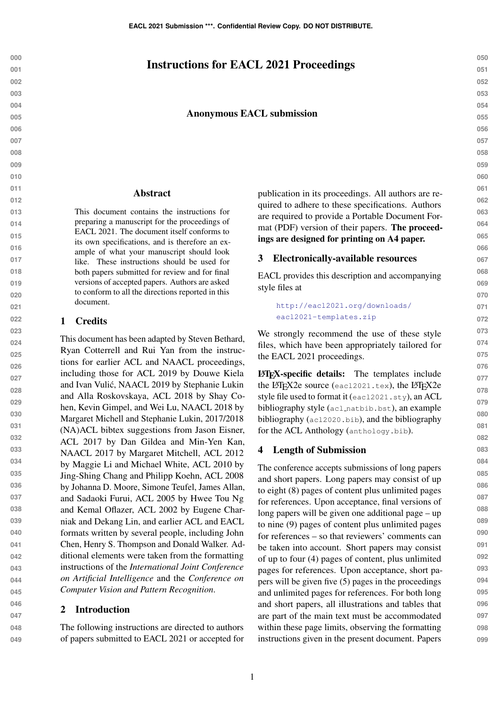# Instructions for EACL 2021 Proceedings

#### Anonymous EACL submission

#### Abstract

This document contains the instructions for preparing a manuscript for the proceedings of EACL 2021. The document itself conforms to its own specifications, and is therefore an example of what your manuscript should look like. These instructions should be used for both papers submitted for review and for final versions of accepted papers. Authors are asked to conform to all the directions reported in this document.

### 1 Credits

This document has been adapted by Steven Bethard, Ryan Cotterrell and Rui Yan from the instructions for earlier ACL and NAACL proceedings, including those for ACL 2019 by Douwe Kiela and Ivan Vulic, NAACL 2019 by Stephanie Lukin ´ and Alla Roskovskaya, ACL 2018 by Shay Cohen, Kevin Gimpel, and Wei Lu, NAACL 2018 by Margaret Michell and Stephanie Lukin, 2017/2018 (NA)ACL bibtex suggestions from Jason Eisner, ACL 2017 by Dan Gildea and Min-Yen Kan, NAACL 2017 by Margaret Mitchell, ACL 2012 by Maggie Li and Michael White, ACL 2010 by Jing-Shing Chang and Philipp Koehn, ACL 2008 by Johanna D. Moore, Simone Teufel, James Allan, and Sadaoki Furui, ACL 2005 by Hwee Tou Ng and Kemal Oflazer, ACL 2002 by Eugene Charniak and Dekang Lin, and earlier ACL and EACL formats written by several people, including John Chen, Henry S. Thompson and Donald Walker. Additional elements were taken from the formatting instructions of the *International Joint Conference on Artificial Intelligence* and the *Conference on Computer Vision and Pattern Recognition*.

### 2 Introduction

The following instructions are directed to authors of papers submitted to EACL 2021 or accepted for

publication in its proceedings. All authors are required to adhere to these specifications. Authors are required to provide a Portable Document Format (PDF) version of their papers. The proceedings are designed for printing on A4 paper.

#### 3 Electronically-available resources

EACL provides this description and accompanying style files at

```
http://eacl2021.org/downloads/
eacl2021-templates.zip
```
We strongly recommend the use of these style files, which have been appropriately tailored for the EACL 2021 proceedings.

LATEX-specific details: The templates include the LAT<sub>E</sub>X2e source (eacl2021.tex), the LAT<sub>E</sub>X2e style file used to format it (eacl2021.sty), an ACL bibliography style (acl\_natbib.bst), an example bibliography (acl2020.bib), and the bibliography for the ACL Anthology (anthology.bib).

#### <span id="page-0-0"></span>4 Length of Submission

The conference accepts submissions of long papers and short papers. Long papers may consist of up to eight (8) pages of content plus unlimited pages for references. Upon acceptance, final versions of long papers will be given one additional page – up to nine (9) pages of content plus unlimited pages for references – so that reviewers' comments can be taken into account. Short papers may consist of up to four (4) pages of content, plus unlimited pages for references. Upon acceptance, short papers will be given five (5) pages in the proceedings and unlimited pages for references. For both long and short papers, all illustrations and tables that are part of the main text must be accommodated within these page limits, observing the formatting instructions given in the present document. Papers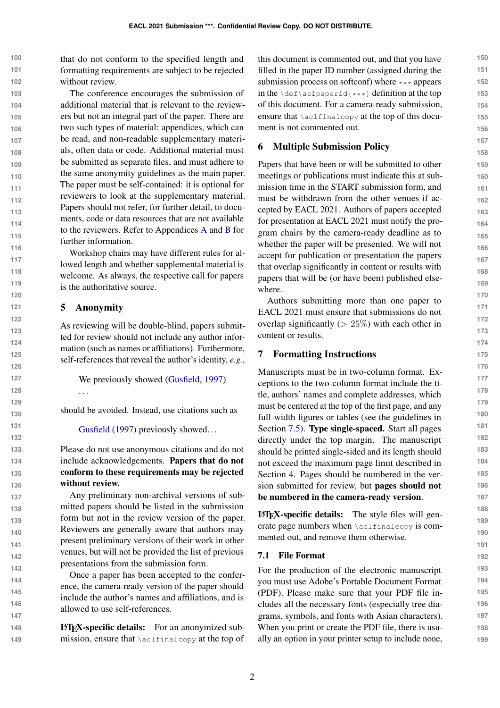**100 101 102** that do not conform to the specified length and formatting requirements are subject to be rejected without review.

**103 104 105 106 107 108 109 110 111 112 113 114 115 116** The conference encourages the submission of additional material that is relevant to the reviewers but not an integral part of the paper. There are two such types of material: appendices, which can be read, and non-readable supplementary materials, often data or code. Additional material must be submitted as separate files, and must adhere to the same anonymity guidelines as the main paper. The paper must be self-contained: it is optional for reviewers to look at the supplementary material. Papers should not refer, for further detail, to documents, code or data resources that are not available to the reviewers. Refer to Appendices [A](#page-6-0) and [B](#page-6-1) for further information.

Workshop chairs may have different rules for allowed length and whether supplemental material is welcome. As always, the respective call for papers is the authoritative source.

### 5 Anonymity

. . .

As reviewing will be double-blind, papers submitted for review should not include any author information (such as names or affiliations). Furthermore, self-references that reveal the author's identity, *e.g.*,

We previously showed [\(Gusfield,](#page-6-2) [1997\)](#page-6-2)

should be avoided. Instead, use citations such as

[Gusfield](#page-6-2) [\(1997\)](#page-6-2) previously showed...

Please do not use anonymous citations and do not include acknowledgements. Papers that do not conform to these requirements may be rejected without review.

Any preliminary non-archival versions of submitted papers should be listed in the submission form but not in the review version of the paper. Reviewers are generally aware that authors may present preliminary versions of their work in other venues, but will not be provided the list of previous presentations from the submission form.

Once a paper has been accepted to the conference, the camera-ready version of the paper should include the author's names and affiliations, and is allowed to use self-references.

**148 149** LATEX-specific details: For an anonymized submission, ensure that \aclfinalcopy at the top of this document is commented out, and that you have filled in the paper ID number (assigned during the submission process on softconf) where  $\star \star \star$  appears in the  $\det\left\{x\right\}$  definition at the top of this document. For a camera-ready submission, ensure that \aclfinalcopy at the top of this document is not commented out.

## 6 Multiple Submission Policy

Papers that have been or will be submitted to other meetings or publications must indicate this at submission time in the START submission form, and must be withdrawn from the other venues if accepted by EACL 2021. Authors of papers accepted for presentation at EACL 2021 must notify the program chairs by the camera-ready deadline as to whether the paper will be presented. We will not accept for publication or presentation the papers that overlap significantly in content or results with papers that will be (or have been) published elsewhere.

Authors submitting more than one paper to EACL 2021 must ensure that submissions do not overlap significantly ( $> 25\%$ ) with each other in content or results.

## 7 Formatting Instructions

Manuscripts must be in two-column format. Exceptions to the two-column format include the title, authors' names and complete addresses, which must be centered at the top of the first page, and any full-width figures or tables (see the guidelines in Section [7.5\)](#page-3-0). Type single-spaced. Start all pages directly under the top margin. The manuscript should be printed single-sided and its length should not exceed the maximum page limit described in Section [4.](#page-0-0) Pages should be numbered in the version submitted for review, but pages should not be numbered in the camera-ready version.

LATEX-specific details: The style files will generate page numbers when \aclfinalcopy is commented out, and remove them otherwise.

## 7.1 File Format

For the production of the electronic manuscript you must use Adobe's Portable Document Format (PDF). Please make sure that your PDF file includes all the necessary fonts (especially tree diagrams, symbols, and fonts with Asian characters). When you print or create the PDF file, there is usually an option in your printer setup to include none,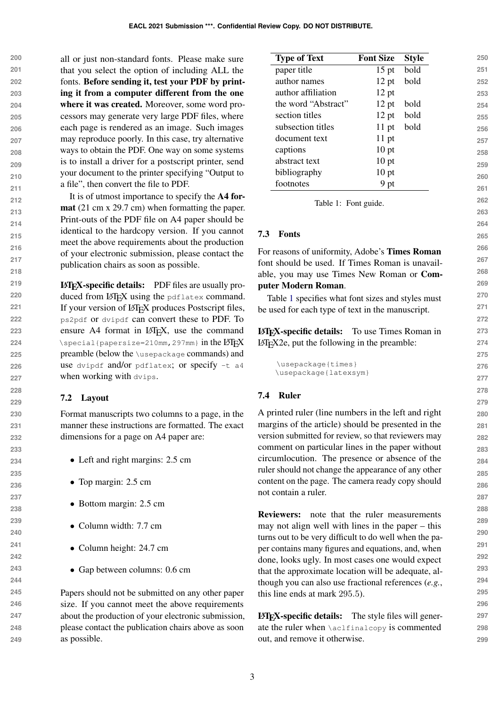**200 201 202 203 204 205 206 207 208 209 210 211** all or just non-standard fonts. Please make sure that you select the option of including ALL the fonts. Before sending it, test your PDF by printing it from a computer different from the one where it was created. Moreover, some word processors may generate very large PDF files, where each page is rendered as an image. Such images may reproduce poorly. In this case, try alternative ways to obtain the PDF. One way on some systems is to install a driver for a postscript printer, send your document to the printer specifying "Output to a file", then convert the file to PDF.

It is of utmost importance to specify the A4 format (21 cm x 29.7 cm) when formatting the paper. Print-outs of the PDF file on A4 paper should be identical to the hardcopy version. If you cannot meet the above requirements about the production of your electronic submission, please contact the publication chairs as soon as possible.

LATEX-specific details: PDF files are usually produced from LATEX using the pdflatex command. If your version of LAT<sub>EX</sub> produces Postscript files, ps2pdf or dvipdf can convert these to PDF. To ensure A4 format in LAT<sub>E</sub>X, use the command  $\text{Special}$ {papersize=210mm,297mm} in the LAT<sub>F</sub>X preamble (below the \usepackage commands) and use dvipdf and/or pdflatex; or specify  $-t$  a4 when working with dvips.

## 7.2 Layout

Format manuscripts two columns to a page, in the manner these instructions are formatted. The exact dimensions for a page on A4 paper are:

- Left and right margins: 2.5 cm
- Top margin: 2.5 cm
- Bottom margin: 2.5 cm
- Column width: 7.7 cm
- Column height: 24.7 cm
- Gap between columns: 0.6 cm

Papers should not be submitted on any other paper size. If you cannot meet the above requirements about the production of your electronic submission, please contact the publication chairs above as soon as possible.

<span id="page-2-0"></span>

| <b>Type of Text</b> | <b>Font Size</b> | <b>Style</b> | 250 |
|---------------------|------------------|--------------|-----|
| paper title         | $15$ pt          | bold         | 251 |
| author names        | $12$ pt          | bold         | 252 |
| author affiliation  | $12$ pt          |              | 253 |
| the word "Abstract" | $12$ pt          | bold         | 254 |
| section titles      | $12$ pt          | bold         | 255 |
| subsection titles   | $11$ pt          | bold         | 256 |
| document text       | $11$ pt          |              | 257 |
| captions            | $10$ pt          |              | 258 |
| abstract text       | $10$ pt          |              | 259 |
| bibliography        | $10$ pt          |              | 260 |
| footnotes           | 9 pt             |              | 261 |

Table 1: Font guide.

### 7.3 Fonts

For reasons of uniformity, Adobe's Times Roman font should be used. If Times Roman is unavailable, you may use Times New Roman or Computer Modern Roman.

Table [1](#page-2-0) specifies what font sizes and styles must be used for each type of text in the manuscript.

LATEX-specific details: To use Times Roman in LATEX2e, put the following in the preamble:

```
\usepackage{times}
\usepackage{latexsym}
```
### 7.4 Ruler

A printed ruler (line numbers in the left and right margins of the article) should be presented in the version submitted for review, so that reviewers may comment on particular lines in the paper without circumlocution. The presence or absence of the ruler should not change the appearance of any other content on the page. The camera ready copy should not contain a ruler.

Reviewers: note that the ruler measurements may not align well with lines in the paper – this turns out to be very difficult to do well when the paper contains many figures and equations, and, when done, looks ugly. In most cases one would expect that the approximate location will be adequate, although you can also use fractional references (*e.g.*, this line ends at mark 295.5).

LATEX-specific details: The style files will generate the ruler when \aclfinalcopy is commented out, and remove it otherwise.

3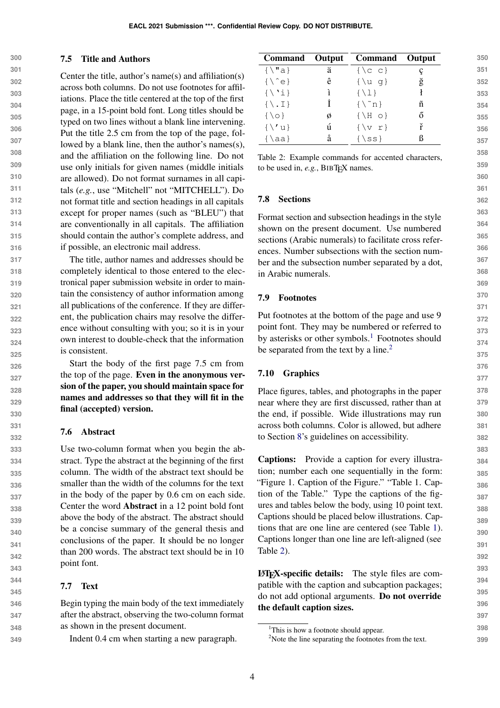### <span id="page-3-0"></span>7.5 Title and Authors

**300**

**301 302 303 304 305 306 307 308 309 310 311 312 313 314 315 316** Center the title, author's name(s) and affiliation(s) across both columns. Do not use footnotes for affiliations. Place the title centered at the top of the first page, in a 15-point bold font. Long titles should be typed on two lines without a blank line intervening. Put the title 2.5 cm from the top of the page, followed by a blank line, then the author's names(s), and the affiliation on the following line. Do not use only initials for given names (middle initials are allowed). Do not format surnames in all capitals (*e.g.*, use "Mitchell" not "MITCHELL"). Do not format title and section headings in all capitals except for proper names (such as "BLEU") that are conventionally in all capitals. The affiliation should contain the author's complete address, and if possible, an electronic mail address.

The title, author names and addresses should be completely identical to those entered to the electronical paper submission website in order to maintain the consistency of author information among all publications of the conference. If they are different, the publication chairs may resolve the difference without consulting with you; so it is in your own interest to double-check that the information is consistent.

> Start the body of the first page 7.5 cm from the top of the page. Even in the anonymous version of the paper, you should maintain space for names and addresses so that they will fit in the final (accepted) version.

## 7.6 Abstract

Use two-column format when you begin the abstract. Type the abstract at the beginning of the first column. The width of the abstract text should be smaller than the width of the columns for the text in the body of the paper by 0.6 cm on each side. Center the word Abstract in a 12 point bold font above the body of the abstract. The abstract should be a concise summary of the general thesis and conclusions of the paper. It should be no longer than 200 words. The abstract text should be in 10 point font.

## 7.7 Text

Begin typing the main body of the text immediately after the abstract, observing the two-column format as shown in the present document.

Indent 0.4 cm when starting a new paragraph.

<span id="page-3-3"></span>

| Command Output                   |          | <b>Command</b> Output |   |
|----------------------------------|----------|-----------------------|---|
| $\{\ \mathbf{u} \}$              | ä        | $\{\setminus c\ c\}$  |   |
| $\{\setminus\hat{e}\}$           | ê        | $\{\ u q\}$           | ğ |
| $\{\ \'i\}$                      | <i>i</i> | $\{\ \{1\}\$          |   |
| $\{\ \mathcal{L}, \mathcal{I}\}$ | Τ        | $\{\n\^n n\}$         | ñ |
| $\{0\}$                          | ø        | $\{\ H \circ\}$       | ő |
| $\{\setminus\prime\}$            | ú        | $\{v r\}$             | ř |
| {\aa}                            | å        | $\{$ \ss }            |   |

Table 2: Example commands for accented characters, to be used in, *e.g.*, BIBT<sub>F</sub>X names.

## 7.8 Sections

Format section and subsection headings in the style shown on the present document. Use numbered sections (Arabic numerals) to facilitate cross references. Number subsections with the section number and the subsection number separated by a dot, in Arabic numerals.

## 7.9 Footnotes

Put footnotes at the bottom of the page and use 9 point font. They may be numbered or referred to by asterisks or other symbols. $<sup>1</sup>$  $<sup>1</sup>$  $<sup>1</sup>$  Footnotes should</sup> be separated from the text by a line.<sup>[2](#page-3-2)</sup>

## 7.10 Graphics

Place figures, tables, and photographs in the paper near where they are first discussed, rather than at the end, if possible. Wide illustrations may run across both columns. Color is allowed, but adhere to Section [8'](#page-5-0)s guidelines on accessibility.

Captions: Provide a caption for every illustration; number each one sequentially in the form: "Figure 1. Caption of the Figure." "Table 1. Caption of the Table." Type the captions of the figures and tables below the body, using 10 point text. Captions should be placed below illustrations. Captions that are one line are centered (see Table [1\)](#page-2-0). Captions longer than one line are left-aligned (see Table [2\)](#page-3-3).

LATEX-specific details: The style files are compatible with the caption and subcaption packages; do not add optional arguments. Do not override the default caption sizes.

**350**

<span id="page-3-1"></span><sup>&</sup>lt;sup>1</sup>This is how a footnote should appear.

<span id="page-3-2"></span><sup>&</sup>lt;sup>2</sup>Note the line separating the footnotes from the text.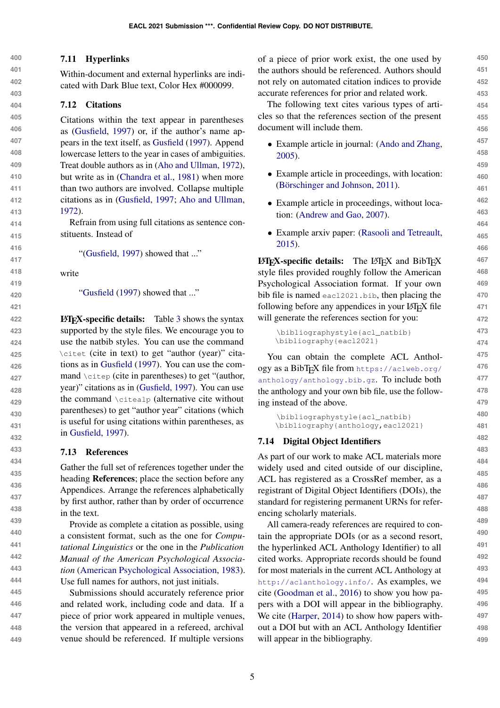### 7.11 Hyperlinks

Within-document and external hyperlinks are indicated with Dark Blue text, Color Hex #000099.

### 7.12 Citations

Citations within the text appear in parentheses as [\(Gusfield,](#page-6-2) [1997\)](#page-6-2) or, if the author's name appears in the text itself, as [Gusfield](#page-6-2) [\(1997\)](#page-6-2). Append lowercase letters to the year in cases of ambiguities. Treat double authors as in [\(Aho and Ullman,](#page-5-1) [1972\)](#page-5-1), but write as in [\(Chandra et al.,](#page-5-2) [1981\)](#page-5-2) when more than two authors are involved. Collapse multiple citations as in [\(Gusfield,](#page-6-2) [1997;](#page-6-2) [Aho and Ullman,](#page-5-1) [1972\)](#page-5-1).

Refrain from using full citations as sentence constituents. Instead of

"[\(Gusfield,](#page-6-2) [1997\)](#page-6-2) showed that ..."

write

["Gusfield](#page-6-2) [\(1997\)](#page-6-2) showed that ..."

LATEX-specific details: Table [3](#page-5-3) shows the syntax supported by the style files. We encourage you to use the natbib styles. You can use the command \citet (cite in text) to get "author (year)" citations as in [Gusfield](#page-6-2) [\(1997\)](#page-6-2). You can use the command \citep (cite in parentheses) to get "(author, year)" citations as in [\(Gusfield,](#page-6-2) [1997\)](#page-6-2). You can use the command \citealp (alternative cite without parentheses) to get "author year" citations (which is useful for using citations within parentheses, as in [Gusfield,](#page-6-2) [1997\)](#page-6-2).

### 7.13 References

Gather the full set of references together under the heading References; place the section before any Appendices. Arrange the references alphabetically by first author, rather than by order of occurrence in the text.

Provide as complete a citation as possible, using a consistent format, such as the one for *Computational Linguistics* or the one in the *Publication Manual of the American Psychological Association* [\(American Psychological Association,](#page-5-4) [1983\)](#page-5-4). Use full names for authors, not just initials.

**445 446 447 448 449** Submissions should accurately reference prior and related work, including code and data. If a piece of prior work appeared in multiple venues, the version that appeared in a refereed, archival venue should be referenced. If multiple versions

of a piece of prior work exist, the one used by the authors should be referenced. Authors should not rely on automated citation indices to provide accurate references for prior and related work.

The following text cites various types of articles so that the references section of the present document will include them.

- Example article in journal: [\(Ando and Zhang,](#page-5-5) [2005\)](#page-5-5).
- Example article in proceedings, with location: (Börschinger and Johnson, [2011\)](#page-5-6).
- Example article in proceedings, without location: [\(Andrew and Gao,](#page-5-7) [2007\)](#page-5-7).
- Example arxiv paper: [\(Rasooli and Tetreault,](#page-6-3) [2015\)](#page-6-3).

 $\text{LATEX-specific details:}$  The LAT<sub>EX</sub> and BibT<sub>EX</sub> style files provided roughly follow the American Psychological Association format. If your own bib file is named eacl2021.bib, then placing the following before any appendices in your LAT<sub>E</sub>X file will generate the references section for you:

```
\bibliographystyle{acl_natbib}
\bibliography{eacl2021}
```
You can obtain the complete ACL Anthology as a BibTEX file from [https://aclweb.org/](https://aclweb.org/anthology/anthology.bib.gz) [anthology/anthology.bib.gz](https://aclweb.org/anthology/anthology.bib.gz). To include both the anthology and your own bib file, use the following instead of the above.

```
\bibliographystyle{acl_natbib}
\bibliography{anthology,eacl2021}
```
## 7.14 Digital Object Identifiers

As part of our work to make ACL materials more widely used and cited outside of our discipline, ACL has registered as a CrossRef member, as a registrant of Digital Object Identifiers (DOIs), the standard for registering permanent URNs for referencing scholarly materials.

All camera-ready references are required to contain the appropriate DOIs (or as a second resort, the hyperlinked ACL Anthology Identifier) to all cited works. Appropriate records should be found for most materials in the current ACL Anthology at <http://aclanthology.info/>. As examples, we cite [\(Goodman et al.,](#page-6-4) [2016\)](#page-6-4) to show you how papers with a DOI will appear in the bibliography. We cite [\(Harper,](#page-6-5) [2014\)](#page-6-5) to show how papers without a DOI but with an ACL Anthology Identifier will appear in the bibliography.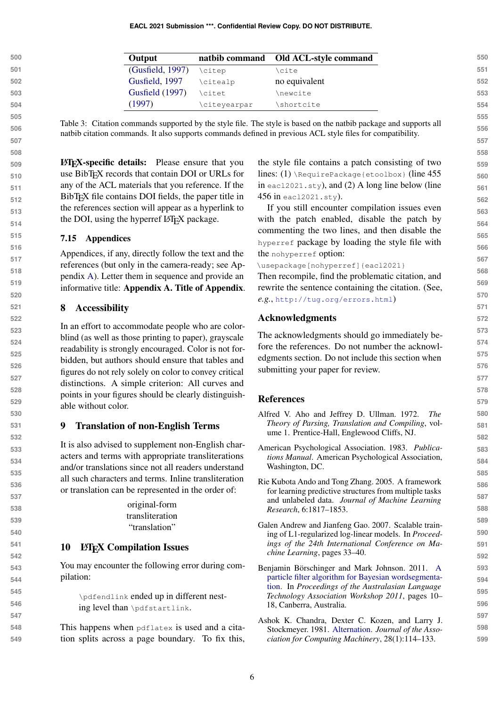<span id="page-5-3"></span>

| 500 | Output           |              | natbib command Old ACL-style command |
|-----|------------------|--------------|--------------------------------------|
| 501 | (Gusfield, 1997) | \citep       | \cite                                |
| 502 | Gusfield, 1997   | \citealp     | no equivalent                        |
| 503 | Gusfield (1997)  | \citet       | \newcite                             |
| 504 | (1997            | \citeyearpar | \shortcite                           |

Table 3: Citation commands supported by the style file. The style is based on the natbib package and supports all natbib citation commands. It also supports commands defined in previous ACL style files for compatibility.

LATEX-specific details: Please ensure that you use BibTEX records that contain DOI or URLs for any of the ACL materials that you reference. If the BibT<sub>E</sub>X file contains DOI fields, the paper title in the references section will appear as a hyperlink to the DOI, using the hyperref LAT<sub>EX</sub> package.

### 7.15 Appendices

Appendices, if any, directly follow the text and the references (but only in the camera-ready; see Appendix [A\)](#page-6-0). Letter them in sequence and provide an informative title: Appendix A. Title of Appendix.

#### <span id="page-5-0"></span>8 Accessibility

In an effort to accommodate people who are colorblind (as well as those printing to paper), grayscale readability is strongly encouraged. Color is not forbidden, but authors should ensure that tables and figures do not rely solely on color to convey critical distinctions. A simple criterion: All curves and points in your figures should be clearly distinguishable without color.

#### 9 Translation of non-English Terms

It is also advised to supplement non-English characters and terms with appropriate transliterations and/or translations since not all readers understand all such characters and terms. Inline transliteration or translation can be represented in the order of:

> original-form transliteration "translation"

### 10 LAT<sub>EX</sub> Compilation Issues

You may encounter the following error during compilation:

> \pdfendlink ended up in different nesting level than \pdfstartlink.

**548 549** This happens when pdflatex is used and a citation splits across a page boundary. To fix this, the style file contains a patch consisting of two lines:  $(1)$  \RequirePackage{etoolbox} (line 455) in eacl2021.  $sty$ ), and (2) A long line below (line 456 in eacl2021.sty).

If you still encounter compilation issues even with the patch enabled, disable the patch by commenting the two lines, and then disable the hyperref package by loading the style file with the nohyperref option:

\usepackage[nohyperref]{eacl2021}

Then recompile, find the problematic citation, and rewrite the sentence containing the citation. (See, *e.g.*, <http://tug.org/errors.html>)

### Acknowledgments

The acknowledgments should go immediately before the references. Do not number the acknowledgments section. Do not include this section when submitting your paper for review.

### References

- <span id="page-5-1"></span>Alfred V. Aho and Jeffrey D. Ullman. 1972. *The Theory of Parsing, Translation and Compiling*, volume 1. Prentice-Hall, Englewood Cliffs, NJ.
- <span id="page-5-4"></span>American Psychological Association. 1983. *Publications Manual*. American Psychological Association, Washington, DC.
- <span id="page-5-5"></span>Rie Kubota Ando and Tong Zhang. 2005. A framework for learning predictive structures from multiple tasks and unlabeled data. *Journal of Machine Learning Research*, 6:1817–1853.
- <span id="page-5-7"></span>Galen Andrew and Jianfeng Gao. 2007. Scalable training of L1-regularized log-linear models. In *Proceedings of the 24th International Conference on Machine Learning*, pages 33–40.
- <span id="page-5-6"></span>Benjamin Börschinger and Mark Johnson. 2011. [A](https://www.aclweb.org/anthology/U11-1004) [particle filter algorithm for Bayesian wordsegmenta](https://www.aclweb.org/anthology/U11-1004)[tion.](https://www.aclweb.org/anthology/U11-1004) In *Proceedings of the Australasian Language Technology Association Workshop 2011*, pages 10– 18, Canberra, Australia.
- <span id="page-5-2"></span>Ashok K. Chandra, Dexter C. Kozen, and Larry J. Stockmeyer. 1981. [Alternation.](https://doi.org/10.1145/322234.322243) *Journal of the Association for Computing Machinery*, 28(1):114–133.